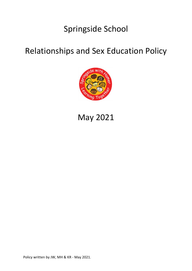# Springside School

### Relationships and Sex Education Policy



# May 2021

Policy written by JW, MH & KR - May 2021.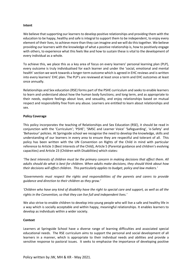#### **Intent**

We believe that supporting our learners to develop positive relationships and providing them with the education to be happy, healthy and safe is integral to support them to be independent, to enjoy every element of their lives, to achieve more than they can imagine and we will do this together. We believe providing our learners with the knowledge of what a positive relationship is, how to positively engage with others, to experience what this feels like and how to sustain these is vital to the development of every individual as a whole.

To achieve this, we place this as a key area of focus on every learners' personal learning plan (PLP), every outcome is truly individualised for each learner and under the 'social, emotional and mental health' section we work towards a longer-term outcome which is agreed in EHC reviews and is written into every learners' EHC plan. The PLP's are reviewed at least once a term and EHC outcomes at least once annually.

Relationships and Sex education (RSE) forms part of the PSHE curriculum and seeks to enable learners to learn and understand about how the human body functions; and long term, and as appropriate to their needs, explore feelings about love, and sexuality, and enjoy relationships based on mutual respect and responsibility free from any abuse. Learners are entitled to learn about relationships and sex.

#### **Policy Coverage**

This policy incorporates the teaching of Relationships and Sex Education (RSE), it should be read in conjunction with the 'Curriculum'; 'PSHE'; 'SMSC and Learner Voice' 'Safeguarding', 'e-Safety' and 'Behaviour' policies. At Springside school we recognise the need to develop the knowledge, skills and understanding of our learners in every area to ensure they are respectful and tolerant of all. This policy has been written with the UN Convention on Rights of the Child in mind with particular reference to Article 3 (Best Interests of the Child), Article 5 (Parental guidance and children's evolving capacities) and Article 23 (Children with Disabilities) which states:

*'The best interests of children must be the primary concern in making decisions that affect them. All adults should do what is best for children. When adults make decisions, they should think about how their decisions will affect children. This particularly applies to budget, policy and law makers.'*

*'Governments must respect the rights and responsibilities of the parents and carers to provide guidance and direction to their children as they grow.'*

*'Children who have any kind of disability have the right to special care and support, as well as all the rights in the Convention, so that they can live full and independent lives.'*

We also strive to enable children to develop into young people who will live a safe and healthy life in a way which is socially acceptable and within happy, meaningful relationships. It enables learners to develop as individuals within a wider society.

#### **Context**

Learners at Springside School have a diverse range of learning difficulties and associated special educational needs. The RSE curriculum aims to support the personal and social development of all learners in a manner, which is appropriate to their individual needs and abilities and provide a sensitive response to pastoral issues. It seeks to emphasise the importance of developing positive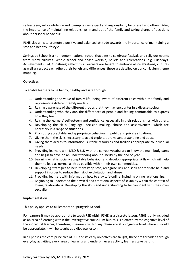self-esteem, self-confidence and to emphasise respect and responsibility for oneself and others. Also, the importance of maintaining relationships in and out of the family and taking charge of decisions about personal behaviour.

PSHE also aims to promote a positive and balanced attitude towards the importance of maintaining a safe and healthy lifestyle.

Springside School is a non-denominational school that aims to celebrate festivals and religious events from many cultures. Whole school and phase worship, beliefs and celebrations (e.g. Birthdays, Achievements, Eid, Christmas) reflect this. Learners are taught to embrace all celebrations, cultures as well as respect each other, their beliefs and differences; these are detailed on our curriculum theme mapping.

### **Objectives**

To enable learners to be happy, healthy and safe through:

- 1. Understanding the value of family life, being aware of different roles within the family and representing different family models.
- 2. Raising awareness of the different groups that they may encounter in a diverse society
- 3. Understanding who they are, the differences of people and feeling comfortable to express how they feel.
- 4. Raising the learners' self-esteem and confidence, especially in their relationships with others.
- 5. Developing the skills (language, decision making, choice and assertiveness) which are necessary in a range of situations.
- 6. Promoting acceptable and appropriate behaviour in public and private situations.
- 7. Giving them the skills necessary to avoid exploitation, misunderstanding and abuse
- 8. Giving them access to information, suitable resources and facilities appropriate to individual needs.
- 9. Providing learners with MLD & SLD with the correct vocabulary to know the main body parts and begin to develop an understanding about puberty by the end of year 6.
- 10. Learning what is socially acceptable behaviour and develop appropriate skills which will help them to lead as normal a life as possible within their own communities.
- 11. Developing strategies to help them keep safe, recognise risk and seek appropriate help and support in order to reduce the risk of exploitation and abuse
- 12. Providing learners with information how to stay safe online, including online relationships.
- 13. Beginning to understand the physical and emotional aspects of sexuality within the context of loving relationships. Developing the skills and understanding to be confident with their own sexuality.

#### **Implementation:**

This policy applies to **all** learners at Springside School.

For learners it may be appropriate to teach RSE within PSHE as a discrete lesson. PSHE is only included as an area of learning within the Investigative curriculum but, this is dictated by the cognitive level of the individual learner; therefore, if learners within any phase are at a cognitive level where it would be appropriate, it will be taught as a discrete lesson.

In all phases the core principles of RSE and its early objectives are taught, these are threaded through everyday activities, every area of learning and underpin every activity learners take part in.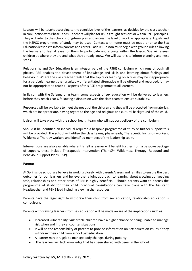Lessons will be taught according to the cognitive level of the learners, as decided by the class teacher in conjunction with Phase Leads. Teachers will plan for RSE as taught sessions or within EYFS principles. They will refer to the school's long-term plan and access the level of work as appropriate. Equals and the NSPCC programmes of study may be used. Contact with home must be made prior to the Sex Education lessons to inform parents and carers. Each RSE lesson must begin with ground rules allowing the learners to feel at ease for them to participate and engage within the lesson. We will assess children at where they are and what they already know. We will use this to inform planning and next steps.

Relationship and Sex Education is an integral part of the PSHE curriculum which runs through all phases. RSE enables the development of knowledge and skills and learning about feelings and behaviour. Where the class teacher feels that the topics or learning objectives may be inappropriate for a particular learner, then a suitably differentiated alternative will be offered and recorded. It may not be appropriate to teach all aspects of this RSE programme to all learners.

In liaison with the Safeguarding team, some aspects of sex education will be delivered to learners before they reach Year 6 following a discussion with the class team to ensure suitability.

Resources will be available to meet the needs of the children and they will be protected from materials which are inappropriate, having regard to the age and religious and cultural background of the child.

Liaison will take place with the school health team who will support delivery of the curriculum.

Should it be identified an individual required a bespoke programme of study or further support this will be provided. The school will utilise the class teams, phase leads, Therapeutic Inclusion workers, Wilderness Therapy workers and identified members of the leadership team.

Interventions are also available where it is felt a learner will benefit further from a bespoke package of support, these include Therapeutic Intervention (Th.Inc®); Wilderness Therapy, Rebound and Behaviour Support Plans (BSP).

#### **Parents:**

At Springside school we believe in working closely with parents/carers and families to ensure the best outcomes for our learners and believe that a joint approach to learning about growing up, keeping safe, relationships and other areas of RSE is highly beneficial. Should parents want to discuss the programme of study for their child individual consultations can take place with the Assistant Headteacher and PSHE lead including viewing the resources.

Parents have the legal right to withdraw their child from sex education, relationship education is compulsory.

Parents withdrawing learners from sex education will be made aware of the implications such as:

- Increased vulnerability; vulnerable children have a higher chance of being unable to manage risk when and if they encounter situations.
- It will be the responsibility of parents to provide information on Sex education issues if they withdraw their child from school Sex education.
- A learner may struggle to manage body changes during puberty.
- The learners will lack knowledge that has been shared with peers in the school.